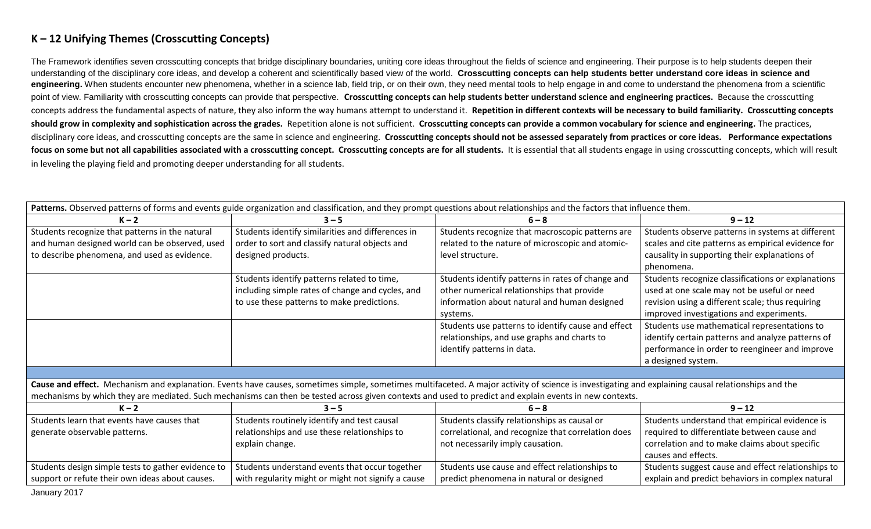## **K – 12 Unifying Themes (Crosscutting Concepts)**

The Framework identifies seven crosscutting concepts that bridge disciplinary boundaries, uniting core ideas throughout the fields of science and engineering. Their purpose is to help students deepen their understanding of the disciplinary core ideas, and develop a coherent and scientifically based view of the world. **Crosscutting concepts can help students better understand core ideas in science and**  engineering. When students encounter new phenomena, whether in a science lab, field trip, or on their own, they need mental tools to help engage in and come to understand the phenomena from a scientific point of view. Familiarity with crosscutting concepts can provide that perspective. **Crosscutting concepts can help students better understand science and engineering practices.** Because the crosscutting concepts address the fundamental aspects of nature, they also inform the way humans attempt to understand it. **Repetition in different contexts will be necessary to build familiarity. Crosscutting concepts should grow in complexity and sophistication across the grades.** Repetition alone is not sufficient. **Crosscutting concepts can provide a common vocabulary for science and engineering.** The practices, disciplinary core ideas, and crosscutting concepts are the same in science and engineering. **Crosscutting concepts should not be assessed separately from practices or core ideas. Performance expectations**  focus on some but not all capabilities associated with a crosscutting concept. Crosscutting concepts are for all students. It is essential that all students engage in using crosscutting concepts, which will result in leveling the playing field and promoting deeper understanding for all students.

| Patterns. Observed patterns of forms and events guide organization and classification, and they prompt questions about relationships and the factors that influence them.                           |                                                    |                                                    |                                                    |
|-----------------------------------------------------------------------------------------------------------------------------------------------------------------------------------------------------|----------------------------------------------------|----------------------------------------------------|----------------------------------------------------|
| $K - 2$                                                                                                                                                                                             | $3 - 5$                                            | $6 - 8$                                            | $9 - 12$                                           |
| Students recognize that patterns in the natural                                                                                                                                                     | Students identify similarities and differences in  | Students recognize that macroscopic patterns are   | Students observe patterns in systems at different  |
| and human designed world can be observed, used                                                                                                                                                      | order to sort and classify natural objects and     | related to the nature of microscopic and atomic-   | scales and cite patterns as empirical evidence for |
| to describe phenomena, and used as evidence.                                                                                                                                                        | designed products.                                 | level structure.                                   | causality in supporting their explanations of      |
|                                                                                                                                                                                                     |                                                    |                                                    | phenomena.                                         |
|                                                                                                                                                                                                     | Students identify patterns related to time,        | Students identify patterns in rates of change and  | Students recognize classifications or explanations |
|                                                                                                                                                                                                     | including simple rates of change and cycles, and   | other numerical relationships that provide         | used at one scale may not be useful or need        |
|                                                                                                                                                                                                     | to use these patterns to make predictions.         | information about natural and human designed       | revision using a different scale; thus requiring   |
|                                                                                                                                                                                                     |                                                    | systems.                                           | improved investigations and experiments.           |
|                                                                                                                                                                                                     |                                                    | Students use patterns to identify cause and effect | Students use mathematical representations to       |
|                                                                                                                                                                                                     |                                                    | relationships, and use graphs and charts to        | identify certain patterns and analyze patterns of  |
|                                                                                                                                                                                                     |                                                    | identify patterns in data.                         | performance in order to reengineer and improve     |
|                                                                                                                                                                                                     |                                                    |                                                    | a designed system.                                 |
|                                                                                                                                                                                                     |                                                    |                                                    |                                                    |
| Cause and effect. Mechanism and explanation. Events have causes, sometimes simple, sometimes multifaceted. A major activity of science is investigating and explaining causal relationships and the |                                                    |                                                    |                                                    |
| mechanisms by which they are mediated. Such mechanisms can then be tested across given contexts and used to predict and explain events in new contexts.                                             |                                                    |                                                    |                                                    |
| $K - 2$                                                                                                                                                                                             | $3 - 5$                                            | $6 - 8$                                            | $9 - 12$                                           |
| Students learn that events have causes that                                                                                                                                                         | Students routinely identify and test causal        | Students classify relationships as causal or       | Students understand that empirical evidence is     |
| generate observable patterns.                                                                                                                                                                       | relationships and use these relationships to       | correlational, and recognize that correlation does | required to differentiate between cause and        |
|                                                                                                                                                                                                     | explain change.                                    | not necessarily imply causation.                   | correlation and to make claims about specific      |
|                                                                                                                                                                                                     |                                                    |                                                    | causes and effects.                                |
| Students design simple tests to gather evidence to                                                                                                                                                  | Students understand events that occur together     | Students use cause and effect relationships to     | Students suggest cause and effect relationships to |
| support or refute their own ideas about causes.                                                                                                                                                     | with regularity might or might not signify a cause | predict phenomena in natural or designed           | explain and predict behaviors in complex natural   |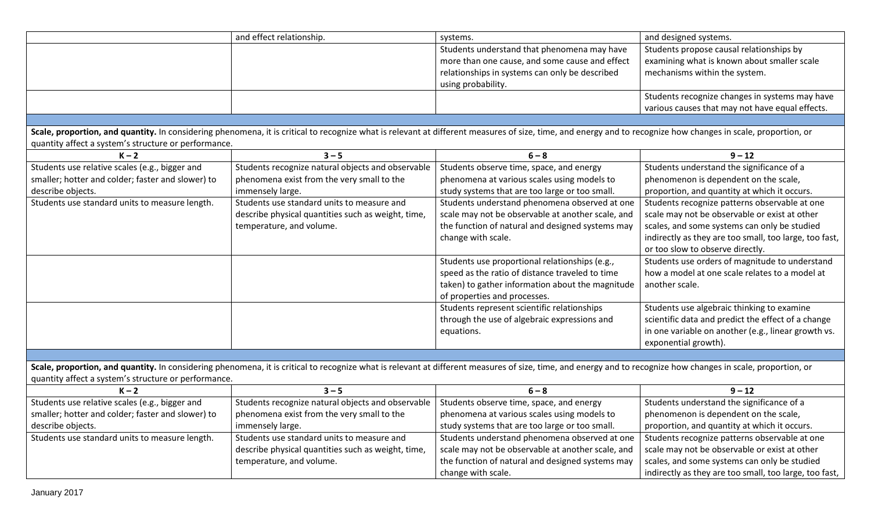|                                                      | and effect relationship.                                                                                                                                                                                      | systems.                                          | and designed systems.                                  |
|------------------------------------------------------|---------------------------------------------------------------------------------------------------------------------------------------------------------------------------------------------------------------|---------------------------------------------------|--------------------------------------------------------|
|                                                      |                                                                                                                                                                                                               | Students understand that phenomena may have       | Students propose causal relationships by               |
|                                                      |                                                                                                                                                                                                               | more than one cause, and some cause and effect    | examining what is known about smaller scale            |
|                                                      |                                                                                                                                                                                                               | relationships in systems can only be described    | mechanisms within the system.                          |
|                                                      |                                                                                                                                                                                                               | using probability.                                |                                                        |
|                                                      |                                                                                                                                                                                                               |                                                   | Students recognize changes in systems may have         |
|                                                      |                                                                                                                                                                                                               |                                                   | various causes that may not have equal effects.        |
|                                                      |                                                                                                                                                                                                               |                                                   |                                                        |
| quantity affect a system's structure or performance. | Scale, proportion, and quantity. In considering phenomena, it is critical to recognize what is relevant at different measures of size, time, and energy and to recognize how changes in scale, proportion, or |                                                   |                                                        |
| $K - 2$                                              | $3 - 5$                                                                                                                                                                                                       | $6 - 8$                                           | $9 - 12$                                               |
| Students use relative scales (e.g., bigger and       | Students recognize natural objects and observable                                                                                                                                                             | Students observe time, space, and energy          | Students understand the significance of a              |
| smaller; hotter and colder; faster and slower) to    | phenomena exist from the very small to the                                                                                                                                                                    | phenomena at various scales using models to       | phenomenon is dependent on the scale,                  |
| describe objects.                                    | immensely large.                                                                                                                                                                                              | study systems that are too large or too small.    | proportion, and quantity at which it occurs.           |
| Students use standard units to measure length.       | Students use standard units to measure and                                                                                                                                                                    | Students understand phenomena observed at one     | Students recognize patterns observable at one          |
|                                                      | describe physical quantities such as weight, time,                                                                                                                                                            | scale may not be observable at another scale, and | scale may not be observable or exist at other          |
|                                                      | temperature, and volume.                                                                                                                                                                                      | the function of natural and designed systems may  | scales, and some systems can only be studied           |
|                                                      |                                                                                                                                                                                                               | change with scale.                                | indirectly as they are too small, too large, too fast, |
|                                                      |                                                                                                                                                                                                               |                                                   | or too slow to observe directly.                       |
|                                                      |                                                                                                                                                                                                               | Students use proportional relationships (e.g.,    | Students use orders of magnitude to understand         |
|                                                      |                                                                                                                                                                                                               | speed as the ratio of distance traveled to time   | how a model at one scale relates to a model at         |
|                                                      |                                                                                                                                                                                                               | taken) to gather information about the magnitude  | another scale.                                         |
|                                                      |                                                                                                                                                                                                               | of properties and processes.                      |                                                        |
|                                                      |                                                                                                                                                                                                               | Students represent scientific relationships       | Students use algebraic thinking to examine             |
|                                                      |                                                                                                                                                                                                               | through the use of algebraic expressions and      | scientific data and predict the effect of a change     |
|                                                      |                                                                                                                                                                                                               | equations.                                        | in one variable on another (e.g., linear growth vs.    |
|                                                      |                                                                                                                                                                                                               |                                                   | exponential growth).                                   |
|                                                      |                                                                                                                                                                                                               |                                                   |                                                        |
|                                                      | Scale, proportion, and quantity. In considering phenomena, it is critical to recognize what is relevant at different measures of size, time, and energy and to recognize how changes in scale, proportion, or |                                                   |                                                        |
| quantity affect a system's structure or performance. |                                                                                                                                                                                                               |                                                   |                                                        |
| $K - 2$                                              | $3 - 5$                                                                                                                                                                                                       | $6 - 8$                                           | $9 - 12$                                               |
| Students use relative scales (e.g., bigger and       | Students recognize natural objects and observable                                                                                                                                                             | Students observe time, space, and energy          | Students understand the significance of a              |
| smaller; hotter and colder; faster and slower) to    | phenomena exist from the very small to the                                                                                                                                                                    | phenomena at various scales using models to       | phenomenon is dependent on the scale,                  |
| describe objects.                                    | immensely large.                                                                                                                                                                                              | study systems that are too large or too small.    | proportion, and quantity at which it occurs.           |
| Students use standard units to measure length.       | Students use standard units to measure and                                                                                                                                                                    | Students understand phenomena observed at one     | Students recognize patterns observable at one          |
|                                                      | describe physical quantities such as weight, time,                                                                                                                                                            | scale may not be observable at another scale, and | scale may not be observable or exist at other          |
|                                                      | temperature, and volume.                                                                                                                                                                                      | the function of natural and designed systems may  | scales, and some systems can only be studied           |
|                                                      |                                                                                                                                                                                                               | change with scale.                                | indirectly as they are too small, too large, too fast, |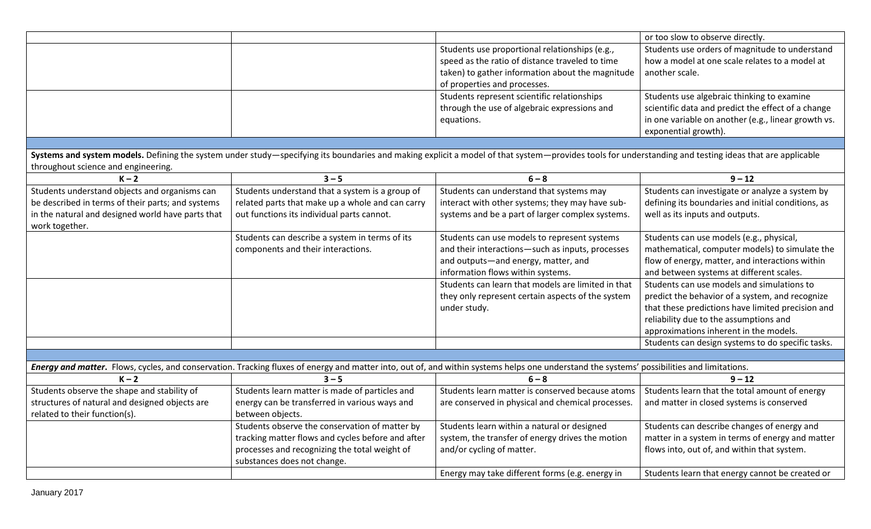|                                                   |                                                   |                                                                                                                                                                                                        | or too slow to observe directly.                    |
|---------------------------------------------------|---------------------------------------------------|--------------------------------------------------------------------------------------------------------------------------------------------------------------------------------------------------------|-----------------------------------------------------|
|                                                   |                                                   | Students use proportional relationships (e.g.,                                                                                                                                                         | Students use orders of magnitude to understand      |
|                                                   |                                                   | speed as the ratio of distance traveled to time                                                                                                                                                        | how a model at one scale relates to a model at      |
|                                                   |                                                   | taken) to gather information about the magnitude                                                                                                                                                       | another scale.                                      |
|                                                   |                                                   | of properties and processes.                                                                                                                                                                           |                                                     |
|                                                   |                                                   | Students represent scientific relationships                                                                                                                                                            | Students use algebraic thinking to examine          |
|                                                   |                                                   | through the use of algebraic expressions and                                                                                                                                                           | scientific data and predict the effect of a change  |
|                                                   |                                                   | equations.                                                                                                                                                                                             | in one variable on another (e.g., linear growth vs. |
|                                                   |                                                   |                                                                                                                                                                                                        | exponential growth).                                |
|                                                   |                                                   |                                                                                                                                                                                                        |                                                     |
|                                                   |                                                   | Systems and system models. Defining the system under study-specifying its boundaries and making explicit a model of that system-provides tools for understanding and testing ideas that are applicable |                                                     |
| throughout science and engineering.               |                                                   |                                                                                                                                                                                                        |                                                     |
| $K - 2$                                           | $3 - 5$                                           | $6 - 8$                                                                                                                                                                                                | $9 - 12$                                            |
| Students understand objects and organisms can     | Students understand that a system is a group of   | Students can understand that systems may                                                                                                                                                               | Students can investigate or analyze a system by     |
| be described in terms of their parts; and systems | related parts that make up a whole and can carry  | interact with other systems; they may have sub-                                                                                                                                                        | defining its boundaries and initial conditions, as  |
| in the natural and designed world have parts that | out functions its individual parts cannot.        | systems and be a part of larger complex systems.                                                                                                                                                       | well as its inputs and outputs.                     |
| work together.                                    |                                                   |                                                                                                                                                                                                        |                                                     |
|                                                   | Students can describe a system in terms of its    | Students can use models to represent systems                                                                                                                                                           | Students can use models (e.g., physical,            |
|                                                   | components and their interactions.                | and their interactions-such as inputs, processes                                                                                                                                                       | mathematical, computer models) to simulate the      |
|                                                   |                                                   | and outputs-and energy, matter, and                                                                                                                                                                    | flow of energy, matter, and interactions within     |
|                                                   |                                                   | information flows within systems.                                                                                                                                                                      | and between systems at different scales.            |
|                                                   |                                                   | Students can learn that models are limited in that                                                                                                                                                     | Students can use models and simulations to          |
|                                                   |                                                   | they only represent certain aspects of the system                                                                                                                                                      | predict the behavior of a system, and recognize     |
|                                                   |                                                   | under study.                                                                                                                                                                                           | that these predictions have limited precision and   |
|                                                   |                                                   |                                                                                                                                                                                                        | reliability due to the assumptions and              |
|                                                   |                                                   |                                                                                                                                                                                                        | approximations inherent in the models.              |
|                                                   |                                                   |                                                                                                                                                                                                        | Students can design systems to do specific tasks.   |
|                                                   |                                                   |                                                                                                                                                                                                        |                                                     |
|                                                   |                                                   | Energy and matter. Flows, cycles, and conservation. Tracking fluxes of energy and matter into, out of, and within systems helps one understand the systems' possibilities and limitations.             |                                                     |
| $K - 2$                                           | $3 - 5$                                           | $6 - 8$                                                                                                                                                                                                | $9 - 12$                                            |
| Students observe the shape and stability of       | Students learn matter is made of particles and    | Students learn matter is conserved because atoms                                                                                                                                                       | Students learn that the total amount of energy      |
| structures of natural and designed objects are    | energy can be transferred in various ways and     | are conserved in physical and chemical processes.                                                                                                                                                      | and matter in closed systems is conserved           |
| related to their function(s).                     | between objects.                                  |                                                                                                                                                                                                        |                                                     |
|                                                   | Students observe the conservation of matter by    | Students learn within a natural or designed                                                                                                                                                            | Students can describe changes of energy and         |
|                                                   | tracking matter flows and cycles before and after | system, the transfer of energy drives the motion                                                                                                                                                       | matter in a system in terms of energy and matter    |
|                                                   | processes and recognizing the total weight of     | and/or cycling of matter.                                                                                                                                                                              | flows into, out of, and within that system.         |
|                                                   | substances does not change.                       |                                                                                                                                                                                                        |                                                     |
|                                                   |                                                   | Energy may take different forms (e.g. energy in                                                                                                                                                        | Students learn that energy cannot be created or     |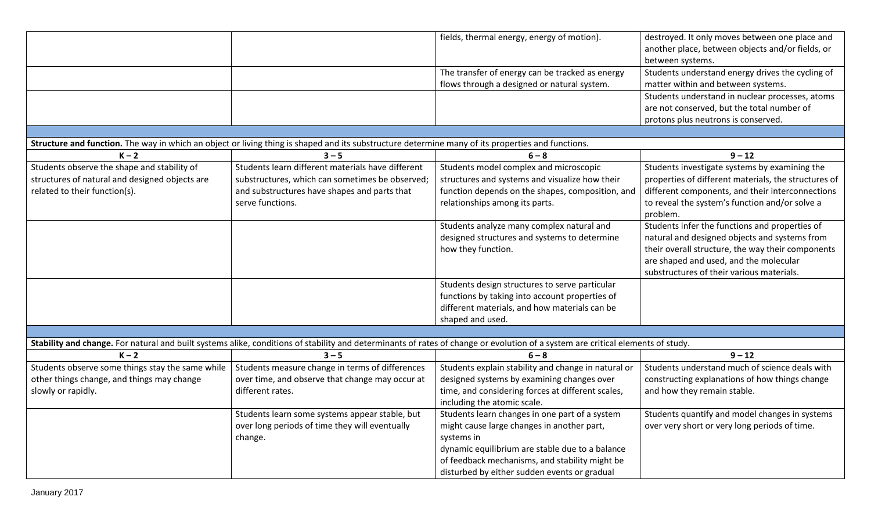|                                                                                                                      |                                                                                                                                                   | fields, thermal energy, energy of motion).                                                                                                                                                                                                                      | destroyed. It only moves between one place and<br>another place, between objects and/or fields, or<br>between systems.                                                                                                                      |
|----------------------------------------------------------------------------------------------------------------------|---------------------------------------------------------------------------------------------------------------------------------------------------|-----------------------------------------------------------------------------------------------------------------------------------------------------------------------------------------------------------------------------------------------------------------|---------------------------------------------------------------------------------------------------------------------------------------------------------------------------------------------------------------------------------------------|
|                                                                                                                      |                                                                                                                                                   | The transfer of energy can be tracked as energy<br>flows through a designed or natural system.                                                                                                                                                                  | Students understand energy drives the cycling of<br>matter within and between systems.                                                                                                                                                      |
|                                                                                                                      |                                                                                                                                                   |                                                                                                                                                                                                                                                                 | Students understand in nuclear processes, atoms<br>are not conserved, but the total number of<br>protons plus neutrons is conserved.                                                                                                        |
|                                                                                                                      | Structure and function. The way in which an object or living thing is shaped and its substructure determine many of its properties and functions. |                                                                                                                                                                                                                                                                 |                                                                                                                                                                                                                                             |
| $K - 2$                                                                                                              | $3 - 5$                                                                                                                                           | $6 - 8$                                                                                                                                                                                                                                                         | $9 - 12$                                                                                                                                                                                                                                    |
| Students observe the shape and stability of                                                                          | Students learn different materials have different                                                                                                 | Students model complex and microscopic                                                                                                                                                                                                                          | Students investigate systems by examining the                                                                                                                                                                                               |
| structures of natural and designed objects are                                                                       | substructures, which can sometimes be observed;                                                                                                   | structures and systems and visualize how their                                                                                                                                                                                                                  | properties of different materials, the structures of                                                                                                                                                                                        |
| related to their function(s).                                                                                        | and substructures have shapes and parts that<br>serve functions.                                                                                  | function depends on the shapes, composition, and<br>relationships among its parts.                                                                                                                                                                              | different components, and their interconnections<br>to reveal the system's function and/or solve a<br>problem.                                                                                                                              |
|                                                                                                                      |                                                                                                                                                   | Students analyze many complex natural and<br>designed structures and systems to determine<br>how they function.                                                                                                                                                 | Students infer the functions and properties of<br>natural and designed objects and systems from<br>their overall structure, the way their components<br>are shaped and used, and the molecular<br>substructures of their various materials. |
|                                                                                                                      |                                                                                                                                                   | Students design structures to serve particular<br>functions by taking into account properties of<br>different materials, and how materials can be<br>shaped and used.                                                                                           |                                                                                                                                                                                                                                             |
|                                                                                                                      |                                                                                                                                                   |                                                                                                                                                                                                                                                                 |                                                                                                                                                                                                                                             |
|                                                                                                                      |                                                                                                                                                   | Stability and change. For natural and built systems alike, conditions of stability and determinants of rates of change or evolution of a system are critical elements of study.                                                                                 |                                                                                                                                                                                                                                             |
| $K - 2$                                                                                                              | $3 - 5$                                                                                                                                           | $6 - 8$                                                                                                                                                                                                                                                         | $9 - 12$                                                                                                                                                                                                                                    |
| Students observe some things stay the same while<br>other things change, and things may change<br>slowly or rapidly. | Students measure change in terms of differences<br>over time, and observe that change may occur at<br>different rates.                            | Students explain stability and change in natural or<br>designed systems by examining changes over<br>time, and considering forces at different scales,<br>including the atomic scale.                                                                           | Students understand much of science deals with<br>constructing explanations of how things change<br>and how they remain stable.                                                                                                             |
|                                                                                                                      | Students learn some systems appear stable, but<br>over long periods of time they will eventually<br>change.                                       | Students learn changes in one part of a system<br>might cause large changes in another part,<br>systems in<br>dynamic equilibrium are stable due to a balance<br>of feedback mechanisms, and stability might be<br>disturbed by either sudden events or gradual | Students quantify and model changes in systems<br>over very short or very long periods of time.                                                                                                                                             |